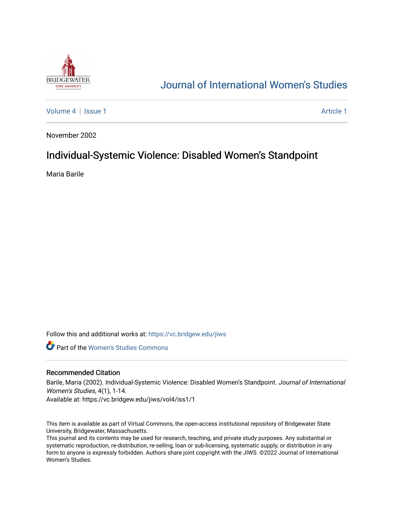

# [Journal of International Women's Studies](https://vc.bridgew.edu/jiws)

[Volume 4](https://vc.bridgew.edu/jiws/vol4) | [Issue 1](https://vc.bridgew.edu/jiws/vol4/iss1) Article 1

November 2002

## Individual-Systemic Violence: Disabled Women's Standpoint

Maria Barile

Follow this and additional works at: [https://vc.bridgew.edu/jiws](https://vc.bridgew.edu/jiws?utm_source=vc.bridgew.edu%2Fjiws%2Fvol4%2Fiss1%2F1&utm_medium=PDF&utm_campaign=PDFCoverPages)

**C** Part of the Women's Studies Commons

#### Recommended Citation

Barile, Maria (2002). Individual-Systemic Violence: Disabled Women's Standpoint. Journal of International Women's Studies, 4(1), 1-14.

Available at: https://vc.bridgew.edu/jiws/vol4/iss1/1

This item is available as part of Virtual Commons, the open-access institutional repository of Bridgewater State University, Bridgewater, Massachusetts.

This journal and its contents may be used for research, teaching, and private study purposes. Any substantial or systematic reproduction, re-distribution, re-selling, loan or sub-licensing, systematic supply, or distribution in any form to anyone is expressly forbidden. Authors share joint copyright with the JIWS. ©2022 Journal of International Women's Studies.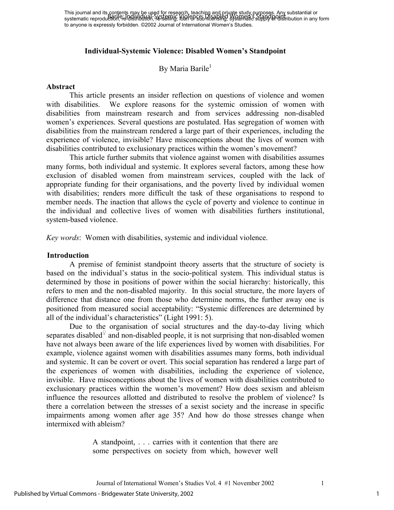#### **Individual-Systemic Violence: Disabled Women's Standpoint**

By Maria Barile<sup>1</sup>

#### **Abstract**

This article presents an insider reflection on questions of violence and women with disabilities. We explore reasons for the systemic omission of women with disabilities from mainstream research and from services addressing non-disabled women's experiences. Several questions are postulated. Has segregation of women with disabilities from the mainstream rendered a large part of their experiences, including the experience of violence, invisible? Have misconceptions about the lives of women with disabilities contributed to exclusionary practices within the women's movement?

This article further submits that violence against women with disabilities assumes many forms, both individual and systemic. It explores several factors, among these how exclusion of disabled women from mainstream services, coupled with the lack of appropriate funding for their organisations, and the poverty lived by individual women with disabilities; renders more difficult the task of these organisations to respond to member needs. The inaction that allows the cycle of poverty and violence to continue in the individual and collective lives of women with disabilities furthers institutional, system-based violence.

*Key words*: Women with disabilities, systemic and individual violence.

#### **Introduction**

A premise of feminist standpoint theory asserts that the structure of society is based on the individual's status in the socio-political system. This individual status is determined by those in positions of power within the social hierarchy: historically, this refers to men and the non-disabled majority. In this social structure, the more layers of difference that distance one from those who determine norms, the further away one is positioned from measured social acceptability: "Systemic differences are determined by all of the individual's characteristics" (Light 1991: 5).

Due to the organisation of social structures and the day-to-day living which separates disabled $\frac{4}{3}$  and non-disabled people, it is not surprising that non-disabled women have not always been aware of the life experiences lived by women with disabilities. For example, violence against women with disabilities assumes many forms, both individual and systemic. It can be covert or overt. This social separation has rendered a large part of the experiences of women with disabilities, including the experience of violence, invisible. Have misconceptions about the lives of women with disabilities contributed to exclusionary practices within the women's movement? How does sexism and ableism influence the resources allotted and distributed to resolve the problem of violence? Is there a correlation between the stresses of a sexist society and the increase in specific impairments among women after age 35? And how do those stresses change when intermixed with ableism?

> A standpoint, . . . carries with it contention that there are some perspectives on society from which, however well

Journal of International Women's Studies Vol. 4 #1 November 2002 1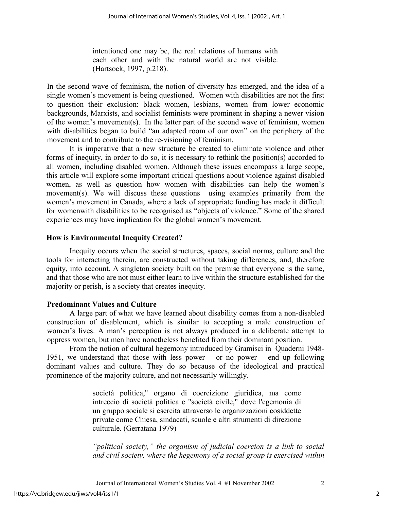intentioned one may be, the real relations of humans with each other and with the natural world are not visible. (Hartsock, 1997, p.218).

In the second wave of feminism, the notion of diversity has emerged, and the idea of a single women's movement is being questioned. Women with disabilities are not the first to question their exclusion: black women, lesbians, women from lower economic backgrounds, Marxists, and socialist feminists were prominent in shaping a newer vision of the women's movement(s). In the latter part of the second wave of feminism, women with disabilities began to build "an adapted room of our own" on the periphery of the movement and to contribute to the re-visioning of feminism.

It is imperative that a new structure be created to eliminate violence and other forms of inequity, in order to do so, it is necessary to rethink the position(s) accorded to all women, including disabled women. Although these issues encompass a large scope, this article will explore some important critical questions about violence against disabled women, as well as question how women with disabilities can help the women's movement(s). We will discuss these questions using examples primarily from the women's movement in Canada, where a lack of appropriate funding has made it difficult for womenwith disabilities to be recognised as "objects of violence." Some of the shared experiences may have implication for the global women's movement.

### **How is Environmental Inequity Created?**

Inequity occurs when the social structures, spaces, social norms, culture and the tools for interacting therein, are constructed without taking differences, and, therefore equity, into account. A singleton society built on the premise that everyone is the same, and that those who are not must either learn to live within the structure established for the majority or perish, is a society that creates inequity.

#### **Predominant Values and Culture**

A large part of what we have learned about disability comes from a non-disabled construction of disablement, which is similar to accepting a male construction of women's lives. A man's perception is not always produced in a deliberate attempt to oppress women, but men have nonetheless benefited from their dominant position.

From the notion of cultural hegemony introduced by Gramisci in Quaderni 1948- 1951, we understand that those with less power – or no power – end up following dominant values and culture. They do so because of the ideological and practical prominence of the majority culture, and not necessarily willingly.

> società politica," organo di coercizione giuridica, ma come intreccio di società politica e "società civile," dove l'egemonia di un gruppo sociale si esercita attraverso le organizzazioni cosiddette private come Chiesa, sindacati, scuole e altri strumenti di direzione culturale. (Gerratana 1979)

*"political society," the organism of judicial coercion is a link to social and civil society, where the hegemony of a social group is exercised within*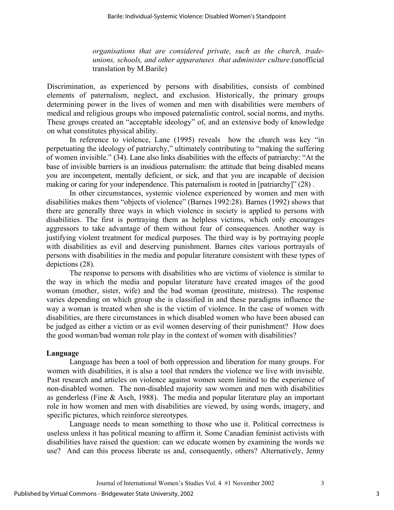*organisations that are considered private, such as the church, tradeunions, schools, and other apparatuses that administer culture*.(unofficial translation by M.Barile)

Discrimination, as experienced by persons with disabilities, consists of combined elements of paternalism, neglect, and exclusion. Historically, the primary groups determining power in the lives of women and men with disabilities were members of medical and religious groups who imposed paternalistic control, social norms, and myths. These groups created an "acceptable ideology" of, and an extensive body of knowledge on what constitutes physical ability.

In reference to violence, Lane (1995) reveals how the church was key "in perpetuating the ideology of patriarchy," ultimately contributing to "making the suffering of women invisible." (34). Lane also links disabilities with the effects of patriarchy: "At the base of invisible barriers is an insidious paternalism: the attitude that being disabled means you are incompetent, mentally deficient, or sick, and that you are incapable of decision making or caring for your independence. This paternalism is rooted in [patriarchy]" (28) .

In other circumstances, systemic violence experienced by women and men with disabilities makes them "objects of violence" (Barnes 1992:28). Barnes (1992) shows that there are generally three ways in which violence in society is applied to persons with disabilities. The first is portraying them as helpless victims, which only encourages aggressors to take advantage of them without fear of consequences. Another way is justifying violent treatment for medical purposes. The third way is by portraying people with disabilities as evil and deserving punishment. Barnes cites various portrayals of persons with disabilities in the media and popular literature consistent with these types of depictions (28).

The response to persons with disabilities who are victims of violence is similar to the way in which the media and popular literature have created images of the good woman (mother, sister, wife) and the bad woman (prostitute, mistress). The response varies depending on which group she is classified in and these paradigms influence the way a woman is treated when she is the victim of violence. In the case of women with disabilities, are there circumstances in which disabled women who have been abused can be judged as either a victim or as evil women deserving of their punishment? How does the good woman/bad woman role play in the context of women with disabilities?

#### **Language**

Language has been a tool of both oppression and liberation for many groups. For women with disabilities, it is also a tool that renders the violence we live with invisible. Past research and articles on violence against women seem limited to the experience of non-disabled women. The non-disabled majority saw women and men with disabilities as genderless (Fine & Asch, 1988). The media and popular literature play an important role in how women and men with disabilities are viewed, by using words, imagery, and specific pictures, which reinforce stereotypes.

Language needs to mean something to those who use it. Political correctness is useless unless it has political meaning to affirm it. Some Canadian feminist activists with disabilities have raised the question: can we educate women by examining the words we use? And can this process liberate us and, consequently, others? Alternatively, Jenny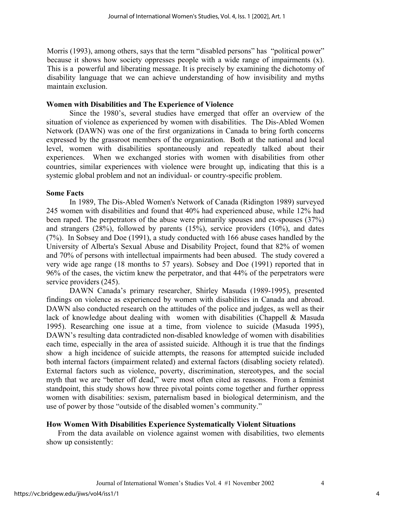Morris (1993), among others, says that the term "disabled persons" has "political power" because it shows how society oppresses people with a wide range of impairments (x). This is a powerful and liberating message. It is precisely by examining the dichotomy of disability language that we can achieve understanding of how invisibility and myths maintain exclusion.

#### **Women with Disabilities and The Experience of Violence**

Since the 1980's, several studies have emerged that offer an overview of the situation of violence as experienced by women with disabilities. The Dis-Abled Women Network (DAWN) was one of the first organizations in Canada to bring forth concerns expressed by the grassroot members of the organization. Both at the national and local level, women with disabilities spontaneously and repeatedly talked about their experiences. When we exchanged stories with women with disabilities from other countries, similar experiences with violence were brought up, indicating that this is a systemic global problem and not an individual- or country-specific problem.

#### **Some Facts**

In 1989, The Dis-Abled Women's Network of Canada (Ridington 1989) surveyed 245 women with disabilities and found that 40% had experienced abuse, while 12% had been raped. The perpetrators of the abuse were primarily spouses and ex-spouses (37%) and strangers (28%), followed by parents (15%), service providers (10%), and dates (7%). In Sobsey and Doe (1991), a study conducted with 166 abuse cases handled by the University of Alberta's Sexual Abuse and Disability Project, found that 82% of women and 70% of persons with intellectual impairments had been abused. The study covered a very wide age range (18 months to 57 years). Sobsey and Doe (1991) reported that in 96% of the cases, the victim knew the perpetrator, and that 44% of the perpetrators were service providers (245).

DAWN Canada's primary researcher, Shirley Masuda (1989-1995), presented findings on violence as experienced by women with disabilities in Canada and abroad. DAWN also conducted research on the attitudes of the police and judges, as well as their lack of knowledge about dealing with women with disabilities (Chappell & Masuda 1995). Researching one issue at a time, from violence to suicide (Masuda 1995), DAWN's resulting data contradicted non-disabled knowledge of women with disabilities each time, especially in the area of assisted suicide. Although it is true that the findings show a high incidence of suicide attempts, the reasons for attempted suicide included both internal factors (impairment related) and external factors (disabling society related). External factors such as violence, poverty, discrimination, stereotypes, and the social myth that we are "better off dead," were most often cited as reasons. From a feminist standpoint, this study shows how three pivotal points come together and further oppress women with disabilities: sexism, paternalism based in biological determinism, and the use of power by those "outside of the disabled women's community."

#### **How Women With Disabilities Experience Systematically Violent Situations**

From the data available on violence against women with disabilities, two elements show up consistently: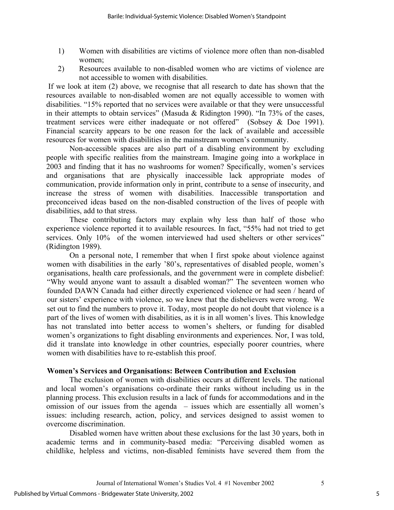- 1) Women with disabilities are victims of violence more often than non-disabled women;
- 2) Resources available to non-disabled women who are victims of violence are not accessible to women with disabilities.

 If we look at item (2) above, we recognise that all research to date has shown that the resources available to non-disabled women are not equally accessible to women with disabilities. "15% reported that no services were available or that they were unsuccessful in their attempts to obtain services" (Masuda & Ridington 1990). "In 73% of the cases, treatment services were either inadequate or not offered" (Sobsey & Doe 1991). Financial scarcity appears to be one reason for the lack of available and accessible resources for women with disabilities in the mainstream women's community.

Non-accessible spaces are also part of a disabling environment by excluding people with specific realities from the mainstream. Imagine going into a workplace in 2003 and finding that it has no washrooms for women? Specifically, women's services and organisations that are physically inaccessible lack appropriate modes of communication, provide information only in print, contribute to a sense of insecurity, and increase the stress of women with disabilities. Inaccessible transportation and preconceived ideas based on the non-disabled construction of the lives of people with disabilities, add to that stress.

These contributing factors may explain why less than half of those who experience violence reported it to available resources. In fact, "55% had not tried to get services. Only 10% of the women interviewed had used shelters or other services" (Ridington 1989).

On a personal note, I remember that when I first spoke about violence against women with disabilities in the early '80's, representatives of disabled people, women's organisations, health care professionals, and the government were in complete disbelief: "Why would anyone want to assault a disabled woman?" The seventeen women who founded DAWN Canada had either directly experienced violence or had seen / heard of our sisters' experience with violence, so we knew that the disbelievers were wrong. We set out to find the numbers to prove it. Today, most people do not doubt that violence is a part of the lives of women with disabilities, as it is in all women's lives. This knowledge has not translated into better access to women's shelters, or funding for disabled women's organizations to fight disabling environments and experiences. Nor, I was told, did it translate into knowledge in other countries, especially poorer countries, where women with disabilities have to re-establish this proof.

#### **Women's Services and Organisations: Between Contribution and Exclusion**

The exclusion of women with disabilities occurs at different levels. The national and local women's organisations co-ordinate their ranks without including us in the planning process. This exclusion results in a lack of funds for accommodations and in the omission of our issues from the agenda – issues which are essentially all women's issues: including research, action, policy, and services designed to assist women to overcome discrimination.

Disabled women have written about these exclusions for the last 30 years, both in academic terms and in community-based media: "Perceiving disabled women as childlike, helpless and victims, non-disabled feminists have severed them from the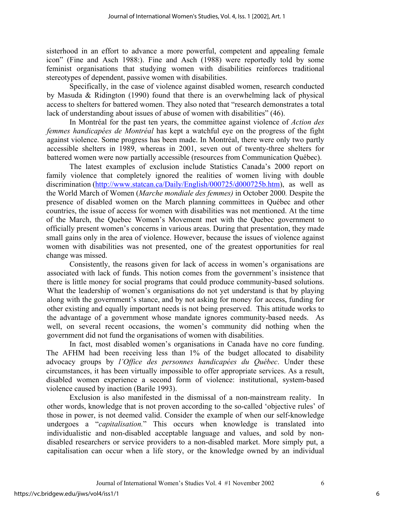sisterhood in an effort to advance a more powerful, competent and appealing female icon" (Fine and Asch 1988:). Fine and Asch (1988) were reportedly told by some feminist organisations that studying women with disabilities reinforces traditional stereotypes of dependent, passive women with disabilities.

Specifically, in the case of violence against disabled women, research conducted by Masuda & Ridington (1990) found that there is an overwhelming lack of physical access to shelters for battered women. They also noted that "research demonstrates a total lack of understanding about issues of abuse of women with disabilities" (46).

In Montréal for the past ten years, the committee against violence of *Action des femmes handicapées de Montréal* has kept a watchful eye on the progress of the fight against violence. Some progress has been made. In Montréal, there were only two partly accessible shelters in 1989, whereas in 2001, seven out of twenty-three shelters for battered women were now partially accessible (resources from Communication Québec).

The latest examples of exclusion include Statistics Canada's 2000 report on family violence that completely ignored the realities of women living with double discrimination [\(http://www.statcan.ca/Daily/English/000725/d000725b.htm\)](http://www.statcan.ca/Daily/English/000725/d000725b.htm), as well as the World March of Women (*Marche mondiale des femmes)* in October 2000*.* Despite the presence of disabled women on the March planning committees in Québec and other countries, the issue of access for women with disabilities was not mentioned. At the time of the March, the Quebec Women's Movement met with the Quebec government to officially present women's concerns in various areas. During that presentation, they made small gains only in the area of violence. However, because the issues of violence against women with disabilities was not presented, one of the greatest opportunities for real change was missed.

Consistently, the reasons given for lack of access in women's organisations are associated with lack of funds. This notion comes from the government's insistence that there is little money for social programs that could produce community-based solutions. What the leadership of women's organisations do not yet understand is that by playing along with the government's stance, and by not asking for money for access, funding for other existing and equally important needs is not being preserved. This attitude works to the advantage of a government whose mandate ignores community-based needs. As well, on several recent occasions, the women's community did nothing when the government did not fund the organisations of women with disabilities.

In fact, most disabled women's organisations in Canada have no core funding. The AFHM had been receiving less than 1% of the budget allocated to disability advocacy groups by *l'Office des personnes handicapées du Québec*. Under these circumstances, it has been virtually impossible to offer appropriate services. As a result, disabled women experience a second form of violence: institutional, system-based violence caused by inaction (Barile 1993).

Exclusion is also manifested in the dismissal of a non-mainstream reality. In other words, knowledge that is not proven according to the so-called 'objective rules' of those in power, is not deemed valid. Consider the example of when our self-knowledge undergoes a "*capitalisation.*" This occurs when knowledge is translated into individualistic and non-disabled acceptable language and values, and sold by nondisabled researchers or service providers to a non-disabled market. More simply put, a capitalisation can occur when a life story, or the knowledge owned by an individual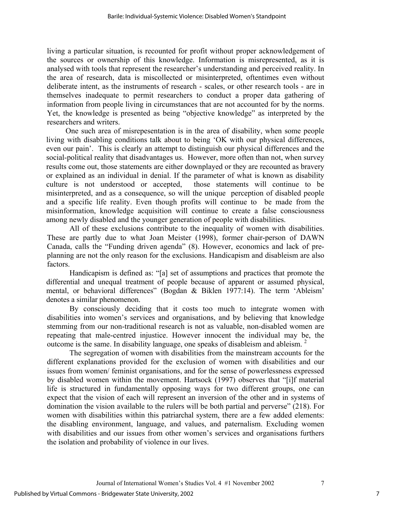living a particular situation, is recounted for profit without proper acknowledgement of the sources or ownership of this knowledge. Information is misrepresented, as it is analysed with tools that represent the researcher's understanding and perceived reality. In the area of research, data is miscollected or misinterpreted, oftentimes even without deliberate intent, as the instruments of research - scales, or other research tools - are in themselves inadequate to permit researchers to conduct a proper data gathering of information from people living in circumstances that are not accounted for by the norms. Yet, the knowledge is presented as being "objective knowledge" as interpreted by the researchers and writers.

 One such area of misrepesentation is in the area of disability, when some people living with disabling conditions talk about to being 'OK with our physical differences, even our pain'. This is clearly an attempt to distinguish our physical differences and the social-political reality that disadvantages us. However, more often than not, when survey results come out, those statements are either downplayed or they are recounted as bravery or explained as an individual in denial. If the parameter of what is known as disability culture is not understood or accepted, those statements will continue to be misinterpreted, and as a consequence, so will the unique perception of disabled people and a specific life reality. Even though profits will continue to be made from the misinformation, knowledge acquisition will continue to create a false consciousness among newly disabled and the younger generation of people with disabilities.

All of these exclusions contribute to the inequality of women with disabilities. These are partly due to what Joan Meister (1998), former chair-person of DAWN Canada, calls the "Funding driven agenda" (8). However, economics and lack of preplanning are not the only reason for the exclusions. Handicapism and disableism are also factors.

 Handicapism is defined as: "[a] set of assumptions and practices that promote the differential and unequal treatment of people because of apparent or assumed physical, mental, or behavioral differences" (Bogdan & Biklen 1977:14). The term 'Ableism' denotes a similar phenomenon.

By consciously deciding that it costs too much to integrate women with disabilities into women's services and organisations, and by believing that knowledge stemming from our non-traditional research is not as valuable, non-disabled women are repeating that male-centred injustice. However innocent the individual may be, the outcome is the same. In disability language, one speaks of disableism and ableism.  $2^2$  $2^2$ 

The segregation of women with disabilities from the mainstream accounts for the different explanations provided for the exclusion of women with disabilities and our issues from women/ feminist organisations, and for the sense of powerlessness expressed by disabled women within the movement. Hartsock (1997) observes that "[i]f material life is structured in fundamentally opposing ways for two different groups, one can expect that the vision of each will represent an inversion of the other and in systems of domination the vision available to the rulers will be both partial and perverse" (218). For women with disabilities within this patriarchal system, there are a few added elements: the disabling environment, language, and values, and paternalism. Excluding women with disabilities and our issues from other women's services and organisations furthers the isolation and probability of violence in our lives.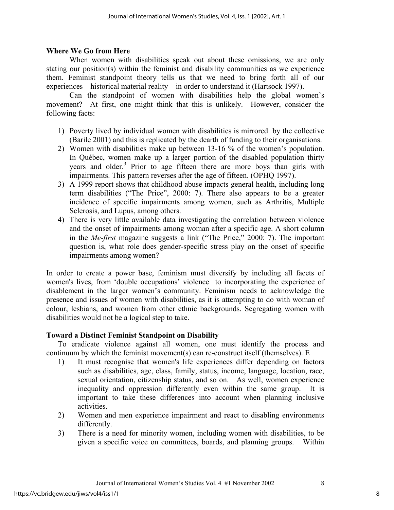#### **Where We Go from Here**

When women with disabilities speak out about these omissions, we are only stating our position(s) within the feminist and disability communities as we experience them. Feminist standpoint theory tells us that we need to bring forth all of our experiences – historical material reality – in order to understand it (Hartsock 1997).

Can the standpoint of women with disabilities help the global women's movement? At first, one might think that this is unlikely. However, consider the following facts:

- 1) Poverty lived by individual women with disabilities is mirrored by the collective (Barile 2001) and this is replicated by the dearth of funding to their organisations.
- 2) Women with disabilities make up between 13-16 % of the women's population. In Québec, women make up a larger portion of the disabled population thirty years and older.<sup>3</sup> Prior to age fifteen there are more boys than girls with impairments. This pattern reverses after the age of fifteen. (OPHQ 1997).
- 3) A 1999 report shows that childhood abuse impacts general health, including long term disabilities ("The Price", 2000: 7). There also appears to be a greater incidence of specific impairments among women, such as Arthritis, Multiple Sclerosis, and Lupus, among others.
- 4) There is very little available data investigating the correlation between violence and the onset of impairments among woman after a specific age. A short column in the *Me-first* magazine suggests a link ("The Price," 2000: 7). The important question is, what role does gender-specific stress play on the onset of specific impairments among women?

In order to create a power base, feminism must diversify by including all facets of women's lives, from 'double occupations' violence to incorporating the experience of disablement in the larger women's community. Feminism needs to acknowledge the presence and issues of women with disabilities, as it is attempting to do with woman of colour, lesbians, and women from other ethnic backgrounds. Segregating women with disabilities would not be a logical step to take.

#### **Toward a Distinct Feminist Standpoint on Disability**

To eradicate violence against all women, one must identify the process and continuum by which the feminist movement(s) can re-construct itself (themselves). E

- 1) It must recognise that women's life experiences differ depending on factors such as disabilities, age, class, family, status, income, language, location, race, sexual orientation, citizenship status, and so on. As well, women experience inequality and oppression differently even within the same group. It is important to take these differences into account when planning inclusive activities.
- 2) Women and men experience impairment and react to disabling environments differently.
- 3) There is a need for minority women, including women with disabilities, to be given a specific voice on committees, boards, and planning groups. Within

8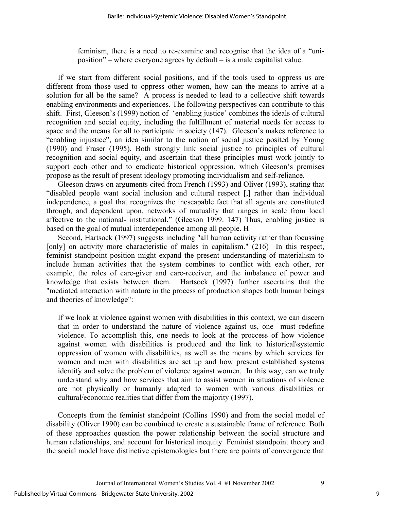feminism, there is a need to re-examine and recognise that the idea of a "uniposition" – where everyone agrees by default – is a male capitalist value.

If we start from different social positions, and if the tools used to oppress us are different from those used to oppress other women, how can the means to arrive at a solution for all be the same? A process is needed to lead to a collective shift towards enabling environments and experiences. The following perspectives can contribute to this shift. First, Gleeson's (1999) notion of 'enabling justice' combines the ideals of cultural recognition and social equity, including the fulfillment of material needs for access to space and the means for all to participate in society (147). Gleeson's makes reference to "enabling injustice", an idea similar to the notion of social justice posited by Young (1990) and Fraser (1995). Both strongly link social justice to principles of cultural recognition and social equity, and ascertain that these principles must work jointly to support each other and to eradicate historical oppression, which Gleeson's premises propose as the result of present ideology promoting individualism and self-reliance.

Gleeson draws on arguments cited from French (1993) and Oliver (1993), stating that "disabled people want social inclusion and cultural respect [,] rather than individual independence, a goal that recognizes the inescapable fact that all agents are constituted through, and dependent upon, networks of mutuality that ranges in scale from local affective to the national- institutional." (Gleeson 1999. 147) Thus, enabling justice is based on the goal of mutual interdependence among all people. H

Second, Hartsock (1997) suggests including "all human activity rather than focussing [only] on activity more characteristic of males in capitalism." (216) In this respect, feminist standpoint position might expand the present understanding of materialism to include human activities that the system combines to conflict with each other, ror example, the roles of care-giver and care-receiver, and the imbalance of power and knowledge that exists between them. Hartsock (1997) further ascertains that the "mediated interaction with nature in the process of production shapes both human beings and theories of knowledge":

If we look at violence against women with disabilities in this context, we can discern that in order to understand the nature of violence against us, one must redefine violence. To accomplish this, one needs to look at the proccess of how violence against women with disabilities is produced and the link to historical\systemic oppression of women with disabilities, as well as the means by which services for women and men with disabilities are set up and how present established systems identify and solve the problem of violence against women. In this way, can we truly understand why and how services that aim to assist women in situations of violence are not physically or humanly adapted to women with various disabilities or cultural/economic realities that differ from the majority (1997).

Concepts from the feminist standpoint (Collins 1990) and from the social model of disability (Oliver 1990) can be combined to create a sustainable frame of reference. Both of these approaches question the power relationship between the social structure and human relationships, and account for historical inequity. Feminist standpoint theory and the social model have distinctive epistemologies but there are points of convergence that

Journal of International Women's Studies Vol. 4 #1 November 2002 9

9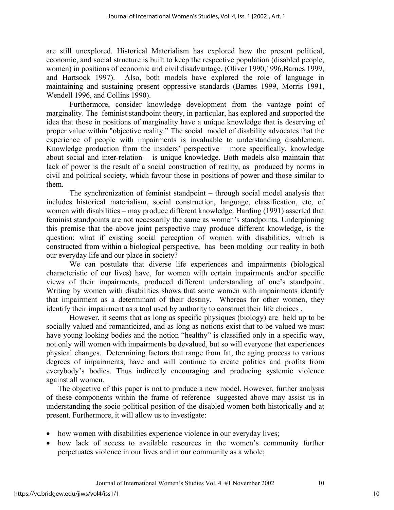are still unexplored. Historical Materialism has explored how the present political, economic, and social structure is built to keep the respective population (disabled people, women) in positions of economic and civil disadvantage. (Oliver 1990,1996,Barnes 1999, and Hartsock 1997). Also, both models have explored the role of language in maintaining and sustaining present oppressive standards (Barnes 1999, Morris 1991, Wendell 1996, and Collins 1990).

 Furthermore, consider knowledge development from the vantage point of marginality. The feminist standpoint theory, in particular, has explored and supported the idea that those in positions of marginality have a unique knowledge that is deserving of proper value within "objective reality." The social model of disability advocates that the experience of people with impairments is invaluable to understanding disablement. Knowledge production from the insiders' perspective – more specifically, knowledge about social and inter-relation – is unique knowledge. Both models also maintain that lack of power is the result of a social construction of reality, as produced by norms in civil and political society, which favour those in positions of power and those similar to them.

The synchronization of feminist standpoint – through social model analysis that includes historical materialism, social construction, language, classification, etc, of women with disabilities – may produce different knowledge. Harding (1991) asserted that feminist standpoints are not necessarily the same as women's standpoints. Underpinning this premise that the above joint perspective may produce different knowledge, is the question: what if existing social perception of women with disabilities, which is constructed from within a biological perspective, has been molding our reality in both our everyday life and our place in society?

We can postulate that diverse life experiences and impairments (biological characteristic of our lives) have, for women with certain impairments and/or specific views of their impairments, produced different understanding of one's standpoint. Writing by women with disabilities shows that some women with impairments identify that impairment as a determinant of their destiny. Whereas for other women, they identify their impairment as a tool used by authority to construct their life choices .

However, it seems that as long as specific physiques (biology) are held up to be socially valued and romanticized, and as long as notions exist that to be valued we must have young looking bodies and the notion "healthy" is classified only in a specific way, not only will women with impairments be devalued, but so will everyone that experiences physical changes. Determining factors that range from fat, the aging process to various degrees of impairments, have and will continue to create politics and profits from everybody's bodies. Thus indirectly encouraging and producing systemic violence against all women.

The objective of this paper is not to produce a new model. However, further analysis of these components within the frame of reference suggested above may assist us in understanding the socio-political position of the disabled women both historically and at present. Furthermore, it will allow us to investigate:

- how women with disabilities experience violence in our everyday lives;
- how lack of access to available resources in the women's community further perpetuates violence in our lives and in our community as a whole;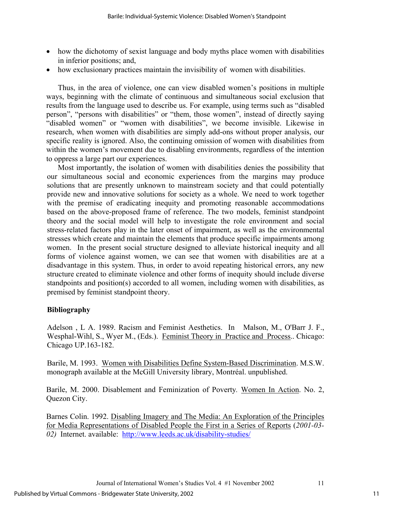- how the dichotomy of sexist language and body myths place women with disabilities in inferior positions; and,
- how exclusionary practices maintain the invisibility of women with disabilities.

Thus, in the area of violence, one can view disabled women's positions in multiple ways, beginning with the climate of continuous and simultaneous social exclusion that results from the language used to describe us. For example, using terms such as "disabled person", "persons with disabilities" or "them, those women", instead of directly saying "disabled women" or "women with disabilities", we become invisible. Likewise in research, when women with disabilities are simply add-ons without proper analysis, our specific reality is ignored. Also, the continuing omission of women with disabilities from within the women's movement due to disabling environments, regardless of the intention to oppress a large part our experiences.

Most importantly, the isolation of women with disabilities denies the possibility that our simultaneous social and economic experiences from the margins may produce solutions that are presently unknown to mainstream society and that could potentially provide new and innovative solutions for society as a whole. We need to work together with the premise of eradicating inequity and promoting reasonable accommodations based on the above-proposed frame of reference. The two models, feminist standpoint theory and the social model will help to investigate the role environment and social stress-related factors play in the later onset of impairment, as well as the environmental stresses which create and maintain the elements that produce specific impairments among women. In the present social structure designed to alleviate historical inequity and all forms of violence against women, we can see that women with disabilities are at a disadvantage in this system. Thus, in order to avoid repeating historical errors, any new structure created to eliminate violence and other forms of inequity should include diverse standpoints and position(s) accorded to all women, including women with disabilities, as premised by feminist standpoint theory.

### **Bibliography**

Adelson , L A. 1989. Racism and Feminist Aesthetics. In Malson, M., O'Barr J. F., Wesphal-Wihl, S., Wyer M., (Eds.). Feminist Theory in Practice and Process.. Chicago: Chicago UP.163-182.

Barile, M. 1993. Women with Disabilities Define System-Based Discrimination. M.S.W. monograph available at the McGill University library, Montréal. unpublished.

Barile, M. 2000. Disablement and Feminization of Poverty*.* Women In Action. No. 2, Quezon City.

Barnes Colin. 1992. Disabling Imagery and The Media: An Exploration of the Principles for Media Representations of Disabled People the First in a Series of Reports (*2001-03- 02)* Internet. available: <http://www.leeds.ac.uk/disability-studies/>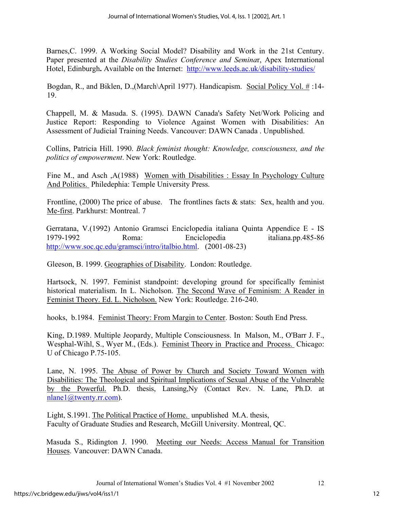Barnes,C. 1999. A Working Social Model? Disability and Work in the 21st Century. Paper presented at the *Disability Studies Conference and Semina*r, Apex International Hotel, Edinburgh**.** Available on the Internet: <http://www.leeds.ac.uk/disability-studies/>

Bogdan, R., and Biklen, D.,(March\April 1977). Handicapism. Social Policy Vol. # :14- 19.

Chappell, M. & Masuda. S. (1995). DAWN Canada's Safety Net/Work Policing and Justice Report: Responding to Violence Against Women with Disabilities: An Assessment of Judicial Training Needs. Vancouver: DAWN Canada . Unpublished.

Collins, Patricia Hill. 1990. *Black feminist thought: Knowledge, consciousness, and the politics of empowerment*. New York: Routledge.

Fine M., and Asch ,A(1988) Women with Disabilities : Essay In Psychology Culture And Politics. Philedephia: Temple University Press.

Frontline, (2000) The price of abuse. The frontlines facts & stats: Sex, health and you. Me-first. Parkhurst: Montreal. 7

Gerratana, V.(1992) Antonio Gramsci Enciclopedia italiana Quinta Appendice E - IS 1979-1992 Roma: Enciclopedia italiana.pp.485-86 [http://www.soc.qc.edu/gramsci/intro/italbio.html.](http://www.soc.qc.edu/gramsci/intro/italbio.html) (2001-08-23)

Gleeson, B. 1999. Geographies of Disability. London: Routledge.

Hartsock, N. 1997. Feminist standpoint: developing ground for specifically feminist historical materialism. In L. Nicholson. The Second Wave of Feminism: A Reader in Feminist Theory. Ed. L. Nicholson. New York: Routledge. 216-240.

hooks, b.1984. Feminist Theory: From Margin to Center. Boston: South End Press.

King, D.1989. Multiple Jeopardy, Multiple Consciousness. In Malson, M., O'Barr J. F., Wesphal-Wihl, S., Wyer M., (Eds.). Feminist Theory in Practice and Process. Chicago: U of Chicago P.75-105.

Lane, N. 1995. The Abuse of Power by Church and Society Toward Women with Disabilities: The Theological and Spiritual Implications of Sexual Abuse of the Vulnerable by the Powerful. Ph.D. thesis, Lansing,Ny (Contact Rev. N. Lane, Ph.D. at [nlane1@twenty.rr.com](mailto:nlane1@twenty.rr.com)).

 Light, S.1991. The Political Practice of Home. unpublished M.A. thesis, Faculty of Graduate Studies and Research, McGill University. Montreal, QC.

Masuda S., Ridington J. 1990. Meeting our Needs: Access Manual for Transition Houses. Vancouver: DAWN Canada.

Journal of International Women's Studies Vol. 4 #1 November 2002 12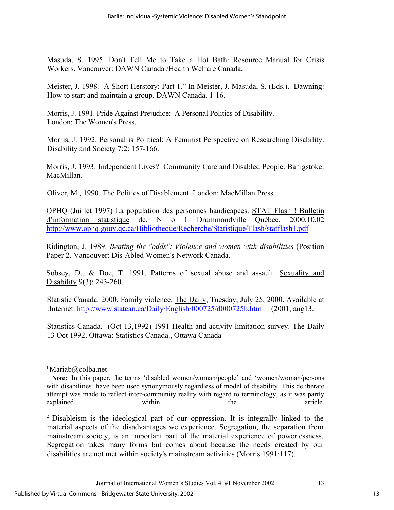Masuda, S. 1995. Don't Tell Me to Take a Hot Bath: Resource Manual for Crisis Workers. Vancouver: DAWN Canada /Health Welfare Canada.

Meister, J. 1998. A Short Herstory: Part 1." In Meister, J. Masuda, S. (Eds.). Dawning: How to start and maintain a group. DAWN Canada. 1-16.

Morris, J. 1991. Pride Against Prejudice: A Personal Politics of Disability. London: The Women's Press.

Morris, J. 1992. Personal is Political: A Feminist Perspective on Researching Disability. Disability and Society 7:2: 157-166.

Morris, J. 1993. Independent Lives? Community Care and Disabled People. Banigstoke: MacMillan.

Oliver, M., 1990. The Politics of Disablement. London: MacMillan Press.

OPHQ (Juillet 1997) La population des personnes handicapées. STAT Flash ! Bulletin d'information statistique de, N o 1 Drummondville Québec. 2000,10,02 <http://www.ophq.gouv.qc.ca/Bibliotheque/Recherche/Statistique/Flash/statflash1.pdf>

Ridington, J. 1989. *Beating the "odds": Violence and women with disabilities* (Position Paper 2. Vancouver: Dis-Abled Women's Network Canada.

Sobsey, D., & Doe, T. 1991. Patterns of sexual abuse and assault. Sexuality and Disability 9(3): 243-260.

Statistic Canada. 2000. Family violence. The Daily, Tuesday, July 25, 2000. Available at :Internet. <http://www.statcan.ca/Daily/English/000725/d000725b.htm>(2001, aug13.

Statistics Canada. (Oct 13,1992) 1991 Health and activity limitation survey. The Daily 13 Oct 1992. Ottawa: Statistics Canada., Ottawa Canada

 $\overline{\phantom{a}}$ 

 ${}^{1}$ Mariab $@$ colba.net

<sup>♀</sup> **Note:** In this paper, the terms 'disabled women/woman/people' and 'women/woman/persons with disabilities' have been used synonymously regardless of model of disability. This deliberate attempt was made to reflect inter-community reality with regard to terminology, as it was partly explained within within the article.

<sup>2</sup> Disableism is the ideological part of our oppression. It is integrally linked to the material aspects of the disadvantages we experience. Segregation, the separation from mainstream society, is an important part of the material experience of powerlessness. Segregation takes many forms but comes about because the needs created by our disabilities are not met within society's mainstream activities (Morris 1991:117).